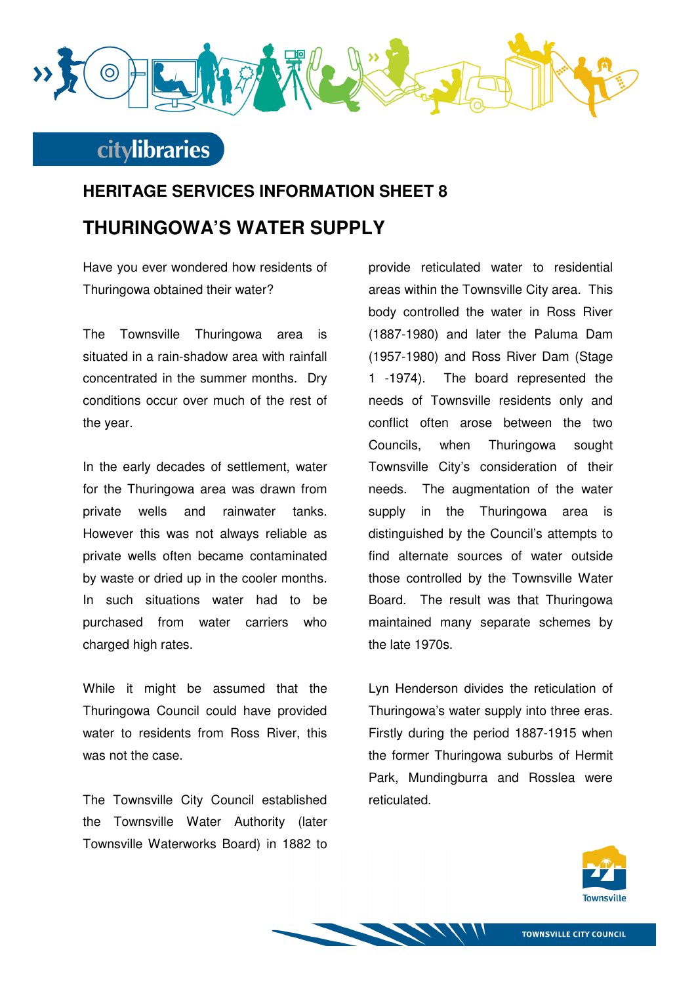

## **HERITAGE SERVICES INFORMATION SHEET 8 THURINGOWA'S WATER SUPPLY**

Have you ever wondered how residents of Thuringowa obtained their water?

The Townsville Thuringowa area is situated in a rain-shadow area with rainfall concentrated in the summer months. Dry conditions occur over much of the rest of the year.

In the early decades of settlement, water for the Thuringowa area was drawn from private wells and rainwater tanks. However this was not always reliable as private wells often became contaminated by waste or dried up in the cooler months. In such situations water had to be purchased from water carriers who charged high rates.

While it might be assumed that the Thuringowa Council could have provided water to residents from Ross River, this was not the case.

The Townsville City Council established the Townsville Water Authority (later Townsville Waterworks Board) in 1882 to provide reticulated water to residential areas within the Townsville City area. This body controlled the water in Ross River (1887-1980) and later the Paluma Dam (1957-1980) and Ross River Dam (Stage 1 -1974). The board represented the needs of Townsville residents only and conflict often arose between the two Councils, when Thuringowa sought Townsville City's consideration of their needs. The augmentation of the water supply in the Thuringowa area is distinguished by the Council's attempts to find alternate sources of water outside those controlled by the Townsville Water Board. The result was that Thuringowa maintained many separate schemes by the late 1970s.

Lyn Henderson divides the reticulation of Thuringowa's water supply into three eras. Firstly during the period 1887-1915 when the former Thuringowa suburbs of Hermit Park, Mundingburra and Rosslea were reticulated.



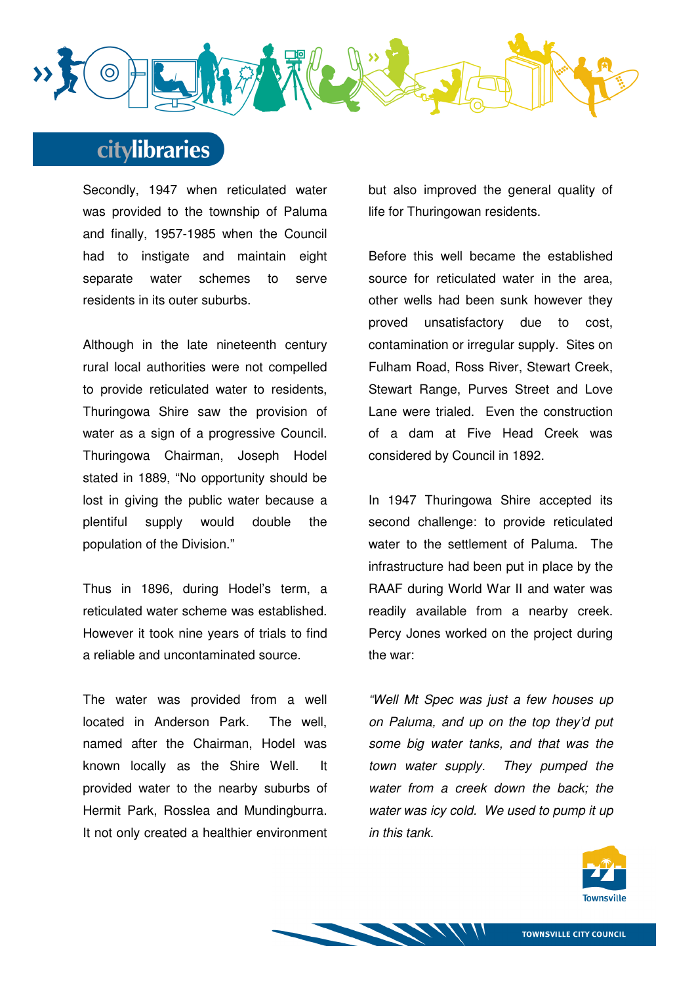

Secondly, 1947 when reticulated water was provided to the township of Paluma and finally, 1957-1985 when the Council had to instigate and maintain eight separate water schemes to serve residents in its outer suburbs.

Although in the late nineteenth century rural local authorities were not compelled to provide reticulated water to residents, Thuringowa Shire saw the provision of water as a sign of a progressive Council. Thuringowa Chairman, Joseph Hodel stated in 1889, "No opportunity should be lost in giving the public water because a plentiful supply would double the population of the Division."

Thus in 1896, during Hodel's term, a reticulated water scheme was established. However it took nine years of trials to find a reliable and uncontaminated source.

The water was provided from a well located in Anderson Park. The well, named after the Chairman, Hodel was known locally as the Shire Well. It provided water to the nearby suburbs of Hermit Park, Rosslea and Mundingburra. It not only created a healthier environment

but also improved the general quality of life for Thuringowan residents.

Before this well became the established source for reticulated water in the area, other wells had been sunk however they proved unsatisfactory due to cost, contamination or irregular supply. Sites on Fulham Road, Ross River, Stewart Creek, Stewart Range, Purves Street and Love Lane were trialed. Even the construction of a dam at Five Head Creek was considered by Council in 1892.

In 1947 Thuringowa Shire accepted its second challenge: to provide reticulated water to the settlement of Paluma. The infrastructure had been put in place by the RAAF during World War II and water was readily available from a nearby creek. Percy Jones worked on the project during the war:

"Well Mt Spec was just a few houses up on Paluma, and up on the top they'd put some big water tanks, and that was the town water supply. They pumped the water from a creek down the back; the water was icy cold. We used to pump it up in this tank.

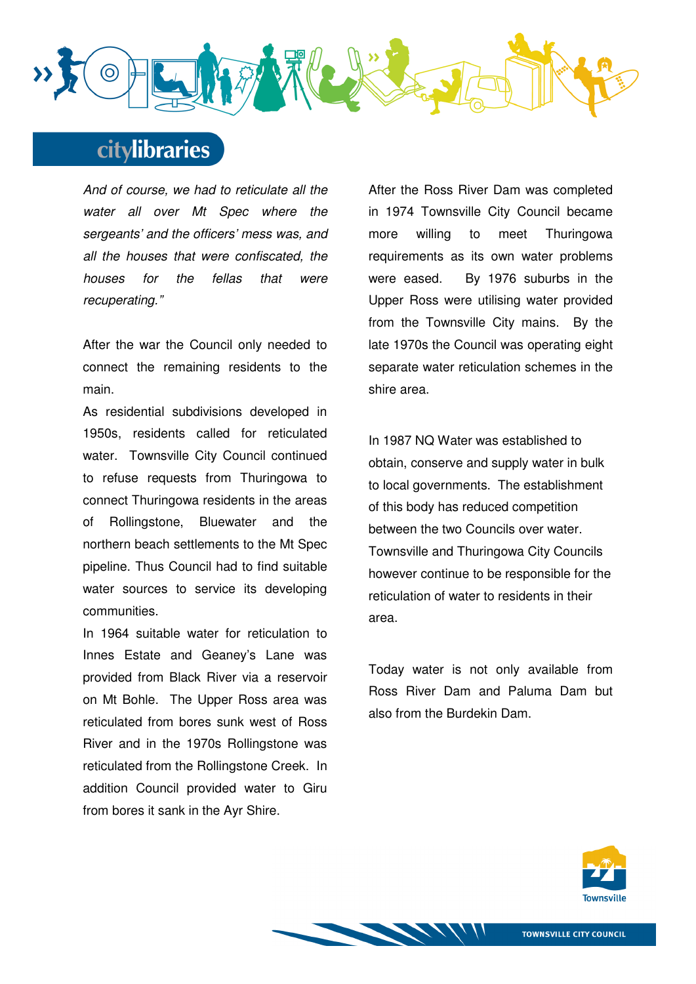

And of course, we had to reticulate all the water all over Mt Spec where the sergeants' and the officers' mess was, and all the houses that were confiscated, the houses for the fellas that were recuperating."

After the war the Council only needed to connect the remaining residents to the main.

As residential subdivisions developed in 1950s, residents called for reticulated water. Townsville City Council continued to refuse requests from Thuringowa to connect Thuringowa residents in the areas of Rollingstone, Bluewater and the northern beach settlements to the Mt Spec pipeline. Thus Council had to find suitable water sources to service its developing communities.

In 1964 suitable water for reticulation to Innes Estate and Geaney's Lane was provided from Black River via a reservoir on Mt Bohle. The Upper Ross area was reticulated from bores sunk west of Ross River and in the 1970s Rollingstone was reticulated from the Rollingstone Creek. In addition Council provided water to Giru from bores it sank in the Ayr Shire.

After the Ross River Dam was completed in 1974 Townsville City Council became more willing to meet Thuringowa requirements as its own water problems were eased. By 1976 suburbs in the Upper Ross were utilising water provided from the Townsville City mains. By the late 1970s the Council was operating eight separate water reticulation schemes in the shire area.

In 1987 NQ Water was established to obtain, conserve and supply water in bulk to local governments. The establishment of this body has reduced competition between the two Councils over water. Townsville and Thuringowa City Councils however continue to be responsible for the reticulation of water to residents in their area.

Today water is not only available from Ross River Dam and Paluma Dam but also from the Burdekin Dam.